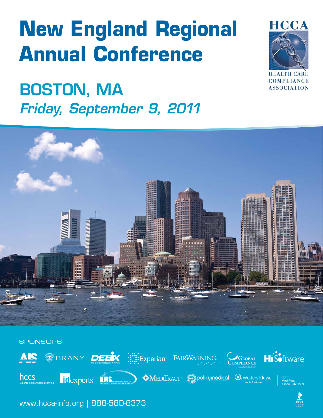# **New England Regional Annual Conference**

## Boston, MA Friday, September 9, 2011





**SPONSORS** AIS WBRANY DEEX : Experian FAIRWARNING GLOBAL<br>MPLIANCE Software® hccs  $\blacktriangleright$   $\blacklozenge$  MEDI $\Gamma$ RACT  $\blacktriangleright$  Policymedical  $\heartsuit$  Wolters Kluwer idexperts KMS CCTT<br>MediRegs<br>Aspen Publishers

www.hcca-info.org | 888-580-8373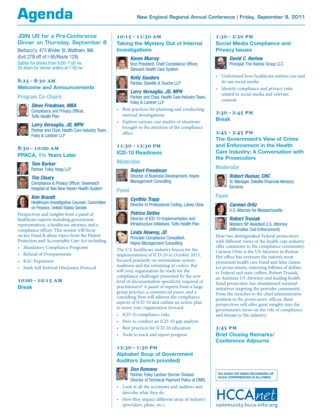## **Agenda**

#### Join Us for a Pre-Conference Dinner on Thursday, September 8

Bertucci's, 475 Winter St, Waltham, MA (Exit 27B off of I-95/Route 128) Gather for drinks from 6:00-7:00 pm.<br>Sit down for dinner orders at 7:00 pm.

#### **8:25–8:30 am Welcome and Announcements**

#### Program Co-Chairs



#### *Steve Friedman, MBA*

Compliance and Privacy Officer, Tufts Health Plan

*Larry Vernaglia, JD, MPH* Partner and Chair, Health Care Industry Team, Foley & Lardner LLP

#### **8:30–10:00 am**

#### **PPACA, 1½ Years Later**



*Tom Barker* Partner, Foley Hoag LLP

*Tim Cleary* Compliance & Privacy Officer, Greenwich Hospital at Yale New Haven Health System



#### *Kim Brandt*

Healthcare Investigative Counsel, Committee on Finance, United States Senate

Perspectives and insights from a panel of healthcare experts including government representatives, a healthcare attorney, and a compliance officer. This session will focus on key fraud & abuse topics from the Patient Protection and Accountable Care Act including:

- Mandatory Compliance Programs
- • Refund of Overpayments
- RAC Expansion
- Stark Self Referral Disclosure Protocol

**10:00–10:15 am Break**

#### **10:15–11:30 am**

#### **Taking the Mystery Out of Internal Investigations**



*Karen Murray* Vice President, Chief Compliance Officer, Steward Health Care System



• Best practices for planning and conducting internal investigations

Partner and Chair, Health Care Industry Team,

*Larry Vernaglia, JD, MPH*

Foley & Lardner LLP

Explore various case studies of situations brought to the attention of the compliance office

### **11:30–12:30 pm**

#### **ICD-10 Readiness**

*Robert Freedman*

#### **Moderator**



Director of Business Development, Hayes Management Consulting



*Cynthia Trapp* Director of Professional Coding, Lahey Clinic

#### *Patrice DeVoe*

Director of ICD-10 Implementation and Infrastructure Initiatives, Tufts Health Plan

#### *Linda Howrey, JD*

Principle Compliance Consultant, Hayes Management Consulting

The U.S. healthcare industry braces for the implementation of ICD-10 in October 2013, focused primarily on information system readiness and the retraining of coders. But will your organization be ready for the compliance challenges presented by the new level of documentation specificity required of practitioners? A panel of experts from a large group practice, a commercial payor, and a consulting firm will address the compliance aspects of ICD-10 and outline an action plan to move your organization forward.

- ICD-10 compliance risks
- How to conduct an ICD-10 gap analysis
- • Best practices for ICD-10 education
- • Tools to track and report progress

#### **12:30–1:30 pm**

#### **Alphabet Soup of Government Auditors (lunch provided)**

#### *Don Romano*

Partner, Foley Lardner (former Division Director of Technical Payment Policy at CMS)

- • Look at all the acronyms and auditors and describe what they do
- How they impact different areas of industry (providers, plans, etc.).

#### **1:30–2:30 pm Social Media Compliance and Privacy Issues**



*David C. Harlow* Principal, The Harlow Group LLC

- • Understand how healthcare entities can and do use social media
- Identify compliance and privacy risks related to social media and relevant controls

**2:30–2:45 pm Break**

#### **2:45–3:45 pm The Government's View of Crime and Enforcement in the Health Care Industry: A Conversation with the Prosecutors**

#### Moderator



*Robert Hussar, CHC* Sr. Manager, Deloitte Financial Advisory Services

#### Panel



#### *Carmen Ortiz*

U.S. Attorney for Massachusetts

### *Robert Trusiak*

Western NY Assistant U.S. Attorney (Affirmative Civil Enforcement)

Hear two distinguished Federal prosecutors with different views of the health care industry offer comments to the compliance community. Carmen Ortiz is the US Attorney in Boston. Her office has overseen the nation's most prominent health care fraud and false claims act prosecutions, returning billions of dollars to Federal and state coffers. Robert Trusiak, an Assistant US Attorney and leading health fraud prosecutor, has championed national initiatives targeting the provider community. From the trenches to the chief administrative position in the prosecutors' offices, these perspectives will offer great insights into the government's views on the role of compliance and threats to the industry.

#### **3:45 pm Brief Closing Remarks/ Conference Adjourns**

**No audio or video recording of HCCA Conferences is allowed.**

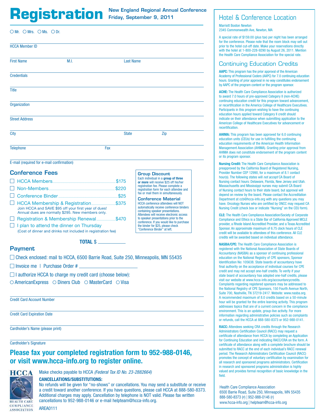### Registration New England Regional Annual Conference Thotel & Conference Location

New England Regional Annual Conference

| OMr. OMrs. OMs. ODr.  |      |     |                  |     |  |  |  |
|-----------------------|------|-----|------------------|-----|--|--|--|
| <b>HCCA Member ID</b> |      |     |                  |     |  |  |  |
| <b>First Name</b>     | M.I. |     | <b>Last Name</b> |     |  |  |  |
| <b>Credentials</b>    |      |     |                  |     |  |  |  |
| Title                 |      |     |                  |     |  |  |  |
| Organization          |      |     |                  |     |  |  |  |
| <b>Street Address</b> |      |     |                  |     |  |  |  |
| <b>City</b>           |      |     | <b>State</b>     | Zip |  |  |  |
| <b>Telephone</b>      |      | Fax |                  |     |  |  |  |

E-mail (required for e-mail confirmation)

#### Conference Fees

| □ HCCA Members.                                                                                           | \$175 |
|-----------------------------------------------------------------------------------------------------------|-------|
|                                                                                                           | \$220 |
|                                                                                                           | \$25  |
| Join HCCA and SAVE \$95 off your first year of dues!<br>Annual dues are normally \$295. New members only. | \$375 |
|                                                                                                           | \$470 |

 $\Box$  I plan to attend the dinner on Thursday (Cost of dinner and drinks not included in registration fee) or more will receive \$25 off his/her registration fee. Please complete a registration form for each attendee and fax or mail them in simultaneously. Conference Material HCCA conference attendees will NOT automatically receive conference binders containing speaker presentations. Attendees will receive electronic access to speaker presentations prior to the conference. If you would like to purchase the binder for \$25, please check

Group Discount Each individual in a group of three

"Conference Binder" at left.

#### Payment

 $\Box$  Check enclosed: mail to HCCA, 6500 Barrie Road, Suite 250, Minneapolis, MN 55435

TOTAL \$

 $\Box$  Invoice me | Purchase Order #

- $\Box$  I authorize HCCA to charge my credit card (choose below):
- $\circ$  AmericanExpress  $\circ$  Diners Club  $\circ$  MasterCard  $\circ$  Visa

Credit Card Account Number

Credit Card Expiration Date

Cardholder's Name (please print)

#### Cardholder's Signature

### Please fax your completed registration form to 952-988-0146, or visit www.hcca-info.org to register online.



Make checks payable to HCCA *(Federal Tax ID No. 23-2882664)*

#### CANCELLATIONS/SUBSTITUTIONS:

No refunds will be given for "no-shows" or cancellations. You may send a substitute or receive a credit toward another conference. If you have questions, please call HCCA at 888-580-8373. Additional charges may apply. Cancellation by telephone is NOT valid. Please fax written cancellations to 952-988-0146 or e-mail helpteam@hcca-info.org.

#### **COMPLIANCE** AREA0111 **ASSOCIATION**

Marriott Boston Newton 2345 Commonwealth Ave, Newton, MA

A special rate of \$159.00 (plus tax) per night has been arranged for the conference. Please note that the room block may sell out prior to the hotel cut-off date. Make your reservations directly with the hotel at 1-800-228-9290 by August 26, 2011. Mention the Health Care Compliance Association for the special rate.

### Continuing Education Credits

AAPC: This program has the prior approval of the American Academy of Professional Coders (AAPC) for 7.0 continuing education hours. Granting of prior approval in no way constitutes endorsement by AAPC of the program content or the program sponsor.

ACHE: The Health Care Compliance Association is authorized to award 7.0 hours of pre-approved Category II (non-ACHE) continuing education credit for this program toward advancement, or recertification in the America College of Healthcare Executives. Participants in this program wishing to have the continuing education hours applied toward Category II credit should indicate on their attendance when submitting application to the American College of Healthcare Executives for advancement or recertification.

AHIMA: This program has been approved for 6.0 continuing education units (CEUs) for use in fulfilling the continuing education requirements of the American Health Information Management Association (AHIMA). Granting prior approval from AHIMA does not constitute endorsement of the program content or its program sponsor.

Nursing Credit: The Health Care Compliance Association is preapproved by the California Board of Registered Nursing, Provider Number CEP 12990, for a maximum of 8.1 contact hour(s). The following states will *not accept* CA Board of Nursing contact hours: Delaware, Florida, New Jersey and Utah. Massachusetts and Mississippi nurses may submit CA Board of Nursing contact hours to their state board, but approval will depend on review by the board. Please contact the Accreditation Department at ccb@hcca-info.org with any questions you may have. Oncology Nurses who are certified by ONCC may request CA Nursing Credit (check box or indicate "Nursing" on the CEU form).

CLE: The Health Care Compliance Association/Society of Corporate Compliance and Ethics is a State Bar of California Approved MCLE provider, a Rhode Island Accredited Provider, and a Texas Accredited Sponsor. An approximate maximum of 6.75 clock hours of CLE credit will be available to attendees of this conference. All CLE credits will be awarded based on individual attendance.

NASBA/CPE: The Health Care Compliance Association is registered with the National Association of State Boards of Accountancy (NASBA) as a sponsor of continuing professional education on the National Registry of CPE sponsors, Sponsor Identification No: 105638. State boards of accountancy have final authority on the acceptance of individual courses for CPE credit and may not accept one-half credits. To verify if your state board of accountancy has adopted one-half credits, please visit our website at www.hcca-info.org/accountancycredits. Complaints regarding registered sponsors may be addressed to the National Registry of CPE Sponsors, 150 Fourth Avenue North, Suite 700, Nashville, TN 37219-2417. Website: www.nasba.org. A recommended maximum of 8.0 credits based on a 50-minute hour will be granted for the entire learning activity. This program addresses topics that are of a current concern in the compliance environment. This is an update, group-live activity. For more information regarding administrative policies such as complaints or refunds, call the HCCA at 888-580-8373 or 952-988-0141.

RACC: Attendees seeking CRA credits through the Research Administrators Certification Council (RACC) may request a certificate of attendance from HCCA by completing an Application for Continuing Education and indicating RACC/CRA on the form. A certificate of attendance along with a complete brochure should be submitted to RACC at the end of each individual's RACC renewal period. The Research Administrators Certification Council (RACC) promotes the concept of voluntary certification by examination for all research and sponsored programs administrators. Certification in research and sponsored programs administration is highly valued and provides formal recognition of basic knowledge in the field.

Health Care Compliance Association 6500 Barrie Road, Suite 250, Minneapolis, MN 55435 888-580-8373 (p) | 952-988-0146 (f) www.hcca-info.org | helpteam@hcca-info.org